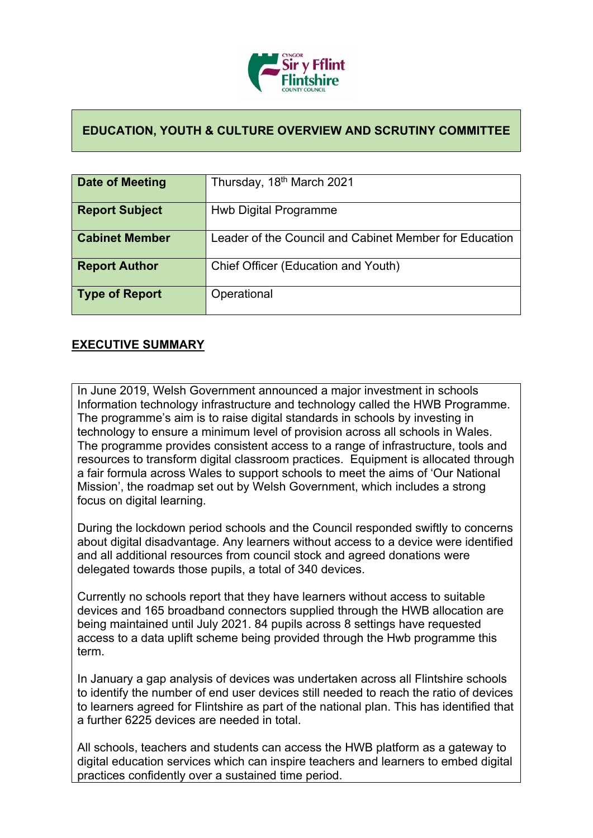

## **EDUCATION, YOUTH & CULTURE OVERVIEW AND SCRUTINY COMMITTEE**

| Date of Meeting       | Thursday, 18 <sup>th</sup> March 2021                  |
|-----------------------|--------------------------------------------------------|
|                       |                                                        |
| <b>Report Subject</b> | Hwb Digital Programme                                  |
|                       |                                                        |
| <b>Cabinet Member</b> | Leader of the Council and Cabinet Member for Education |
|                       |                                                        |
| <b>Report Author</b>  | Chief Officer (Education and Youth)                    |
|                       |                                                        |
| Type of Report        | Operational                                            |
|                       |                                                        |

## **EXECUTIVE SUMMARY**

In June 2019, Welsh Government announced a major investment in schools Information technology infrastructure and technology called the HWB Programme. The programme's aim is to raise digital standards in schools by investing in technology to ensure a minimum level of provision across all schools in Wales. The programme provides consistent access to a range of infrastructure, tools and resources to transform digital classroom practices. Equipment is allocated through a fair formula across Wales to support schools to meet the aims of 'Our National Mission', the roadmap set out by Welsh Government, which includes a strong focus on digital learning.

During the lockdown period schools and the Council responded swiftly to concerns about digital disadvantage. Any learners without access to a device were identified and all additional resources from council stock and agreed donations were delegated towards those pupils, a total of 340 devices.

Currently no schools report that they have learners without access to suitable devices and 165 broadband connectors supplied through the HWB allocation are being maintained until July 2021. 84 pupils across 8 settings have requested access to a data uplift scheme being provided through the Hwb programme this term.

In January a gap analysis of devices was undertaken across all Flintshire schools to identify the number of end user devices still needed to reach the ratio of devices to learners agreed for Flintshire as part of the national plan. This has identified that a further 6225 devices are needed in total.

All schools, teachers and students can access the HWB platform as a gateway to digital education services which can inspire teachers and learners to embed digital practices confidently over a sustained time period.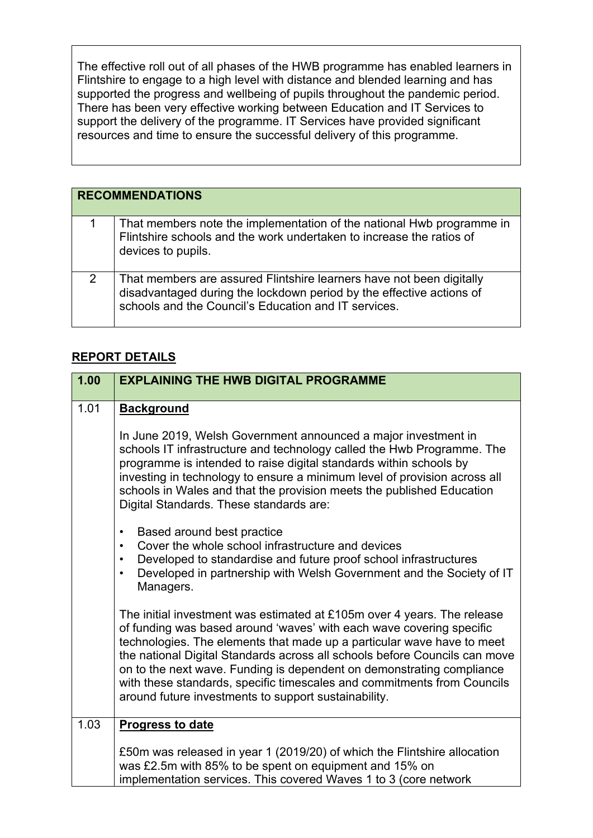The effective roll out of all phases of the HWB programme has enabled learners in Flintshire to engage to a high level with distance and blended learning and has supported the progress and wellbeing of pupils throughout the pandemic period. There has been very effective working between Education and IT Services to support the delivery of the programme. IT Services have provided significant resources and time to ensure the successful delivery of this programme.

| <b>RECOMMENDATIONS</b> |                                                                                                                                                                                                      |
|------------------------|------------------------------------------------------------------------------------------------------------------------------------------------------------------------------------------------------|
|                        | That members note the implementation of the national Hwb programme in<br>Flintshire schools and the work undertaken to increase the ratios of<br>devices to pupils.                                  |
| $\mathcal{P}$          | That members are assured Flintshire learners have not been digitally<br>disadvantaged during the lockdown period by the effective actions of<br>schools and the Council's Education and IT services. |

## **REPORT DETAILS**

| 1.00 | <b>EXPLAINING THE HWB DIGITAL PROGRAMME</b>                                                                                                                                                                                                                                                                                                                                                                                                                                                                         |
|------|---------------------------------------------------------------------------------------------------------------------------------------------------------------------------------------------------------------------------------------------------------------------------------------------------------------------------------------------------------------------------------------------------------------------------------------------------------------------------------------------------------------------|
| 1.01 | <b>Background</b>                                                                                                                                                                                                                                                                                                                                                                                                                                                                                                   |
|      | In June 2019, Welsh Government announced a major investment in<br>schools IT infrastructure and technology called the Hwb Programme. The<br>programme is intended to raise digital standards within schools by<br>investing in technology to ensure a minimum level of provision across all<br>schools in Wales and that the provision meets the published Education<br>Digital Standards. These standards are:                                                                                                     |
|      | Based around best practice<br>$\bullet$<br>Cover the whole school infrastructure and devices<br>$\bullet$<br>Developed to standardise and future proof school infrastructures<br>$\bullet$<br>Developed in partnership with Welsh Government and the Society of IT<br>$\bullet$<br>Managers.                                                                                                                                                                                                                        |
|      | The initial investment was estimated at £105m over 4 years. The release<br>of funding was based around 'waves' with each wave covering specific<br>technologies. The elements that made up a particular wave have to meet<br>the national Digital Standards across all schools before Councils can move<br>on to the next wave. Funding is dependent on demonstrating compliance<br>with these standards, specific timescales and commitments from Councils<br>around future investments to support sustainability. |
| 1.03 | <b>Progress to date</b>                                                                                                                                                                                                                                                                                                                                                                                                                                                                                             |
|      | £50m was released in year 1 (2019/20) of which the Flintshire allocation<br>was £2.5m with 85% to be spent on equipment and 15% on<br>implementation services. This covered Waves 1 to 3 (core network                                                                                                                                                                                                                                                                                                              |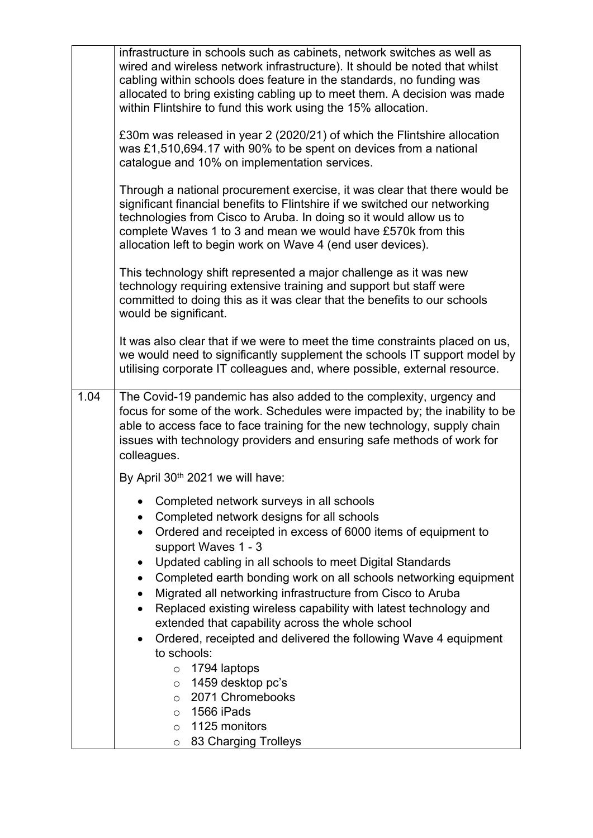| infrastructure in schools such as cabinets, network switches as well as<br>wired and wireless network infrastructure). It should be noted that whilst<br>cabling within schools does feature in the standards, no funding was<br>allocated to bring existing cabling up to meet them. A decision was made<br>within Flintshire to fund this work using the 15% allocation.                                                                                                                                                                                                                                                                                                                                                                                                                          |
|-----------------------------------------------------------------------------------------------------------------------------------------------------------------------------------------------------------------------------------------------------------------------------------------------------------------------------------------------------------------------------------------------------------------------------------------------------------------------------------------------------------------------------------------------------------------------------------------------------------------------------------------------------------------------------------------------------------------------------------------------------------------------------------------------------|
| £30m was released in year 2 (2020/21) of which the Flintshire allocation<br>was £1,510,694.17 with 90% to be spent on devices from a national<br>catalogue and 10% on implementation services.                                                                                                                                                                                                                                                                                                                                                                                                                                                                                                                                                                                                      |
| Through a national procurement exercise, it was clear that there would be<br>significant financial benefits to Flintshire if we switched our networking<br>technologies from Cisco to Aruba. In doing so it would allow us to<br>complete Waves 1 to 3 and mean we would have £570k from this<br>allocation left to begin work on Wave 4 (end user devices).                                                                                                                                                                                                                                                                                                                                                                                                                                        |
| This technology shift represented a major challenge as it was new<br>technology requiring extensive training and support but staff were<br>committed to doing this as it was clear that the benefits to our schools<br>would be significant.                                                                                                                                                                                                                                                                                                                                                                                                                                                                                                                                                        |
| It was also clear that if we were to meet the time constraints placed on us,<br>we would need to significantly supplement the schools IT support model by<br>utilising corporate IT colleagues and, where possible, external resource.                                                                                                                                                                                                                                                                                                                                                                                                                                                                                                                                                              |
| The Covid-19 pandemic has also added to the complexity, urgency and<br>focus for some of the work. Schedules were impacted by; the inability to be<br>able to access face to face training for the new technology, supply chain<br>issues with technology providers and ensuring safe methods of work for<br>colleagues.                                                                                                                                                                                                                                                                                                                                                                                                                                                                            |
| By April 30 <sup>th</sup> 2021 we will have:                                                                                                                                                                                                                                                                                                                                                                                                                                                                                                                                                                                                                                                                                                                                                        |
| Completed network surveys in all schools<br>$\bullet$<br>Completed network designs for all schools<br>Ordered and receipted in excess of 6000 items of equipment to<br>$\bullet$<br>support Waves 1 - 3<br>Updated cabling in all schools to meet Digital Standards<br>$\bullet$<br>Completed earth bonding work on all schools networking equipment<br>$\bullet$<br>Migrated all networking infrastructure from Cisco to Aruba<br>$\bullet$<br>Replaced existing wireless capability with latest technology and<br>$\bullet$<br>extended that capability across the whole school<br>Ordered, receipted and delivered the following Wave 4 equipment<br>$\bullet$<br>to schools:<br>1794 laptops<br>$\circ$<br>1459 desktop pc's<br>$\circ$<br>2071 Chromebooks<br>$\circ$<br>1566 iPads<br>$\circ$ |
|                                                                                                                                                                                                                                                                                                                                                                                                                                                                                                                                                                                                                                                                                                                                                                                                     |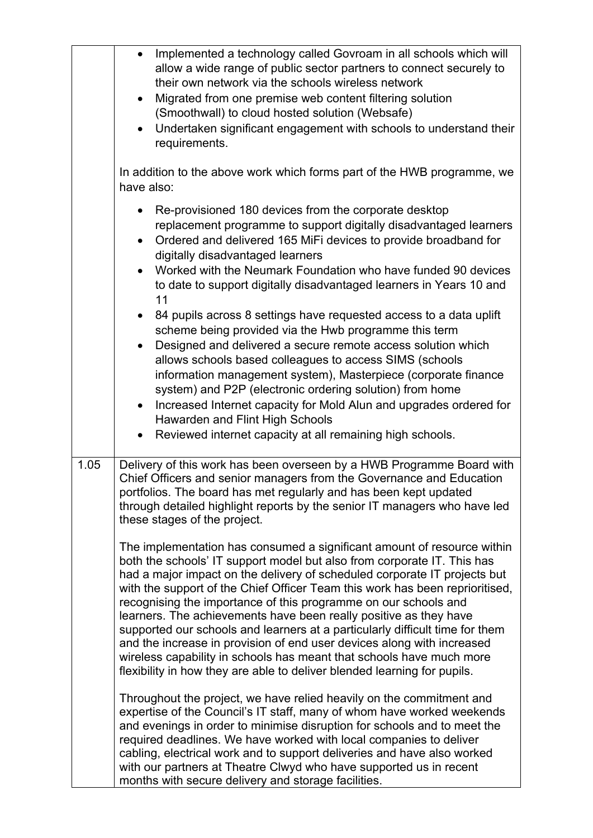|      | Implemented a technology called Govroam in all schools which will<br>$\bullet$<br>allow a wide range of public sector partners to connect securely to<br>their own network via the schools wireless network<br>Migrated from one premise web content filtering solution<br>$\bullet$<br>(Smoothwall) to cloud hosted solution (Websafe)<br>Undertaken significant engagement with schools to understand their<br>requirements.                                                                                                                                                                                                                                                                                                                                        |
|------|-----------------------------------------------------------------------------------------------------------------------------------------------------------------------------------------------------------------------------------------------------------------------------------------------------------------------------------------------------------------------------------------------------------------------------------------------------------------------------------------------------------------------------------------------------------------------------------------------------------------------------------------------------------------------------------------------------------------------------------------------------------------------|
|      | In addition to the above work which forms part of the HWB programme, we<br>have also:                                                                                                                                                                                                                                                                                                                                                                                                                                                                                                                                                                                                                                                                                 |
|      | Re-provisioned 180 devices from the corporate desktop<br>replacement programme to support digitally disadvantaged learners<br>Ordered and delivered 165 MiFi devices to provide broadband for<br>digitally disadvantaged learners<br>Worked with the Neumark Foundation who have funded 90 devices<br>to date to support digitally disadvantaged learners in Years 10 and<br>11                                                                                                                                                                                                                                                                                                                                                                                       |
|      | 84 pupils across 8 settings have requested access to a data uplift<br>$\bullet$<br>scheme being provided via the Hwb programme this term<br>Designed and delivered a secure remote access solution which<br>allows schools based colleagues to access SIMS (schools<br>information management system), Masterpiece (corporate finance<br>system) and P2P (electronic ordering solution) from home<br>Increased Internet capacity for Mold Alun and upgrades ordered for<br>$\bullet$<br>Hawarden and Flint High Schools                                                                                                                                                                                                                                               |
|      | Reviewed internet capacity at all remaining high schools.                                                                                                                                                                                                                                                                                                                                                                                                                                                                                                                                                                                                                                                                                                             |
| 1.05 | Delivery of this work has been overseen by a HWB Programme Board with<br>Chief Officers and senior managers from the Governance and Education<br>portfolios. The board has met regularly and has been kept updated<br>through detailed highlight reports by the senior IT managers who have led<br>these stages of the project.                                                                                                                                                                                                                                                                                                                                                                                                                                       |
|      | The implementation has consumed a significant amount of resource within<br>both the schools' IT support model but also from corporate IT. This has<br>had a major impact on the delivery of scheduled corporate IT projects but<br>with the support of the Chief Officer Team this work has been reprioritised,<br>recognising the importance of this programme on our schools and<br>learners. The achievements have been really positive as they have<br>supported our schools and learners at a particularly difficult time for them<br>and the increase in provision of end user devices along with increased<br>wireless capability in schools has meant that schools have much more<br>flexibility in how they are able to deliver blended learning for pupils. |
|      | Throughout the project, we have relied heavily on the commitment and<br>expertise of the Council's IT staff, many of whom have worked weekends<br>and evenings in order to minimise disruption for schools and to meet the<br>required deadlines. We have worked with local companies to deliver<br>cabling, electrical work and to support deliveries and have also worked<br>with our partners at Theatre Clwyd who have supported us in recent<br>months with secure delivery and storage facilities.                                                                                                                                                                                                                                                              |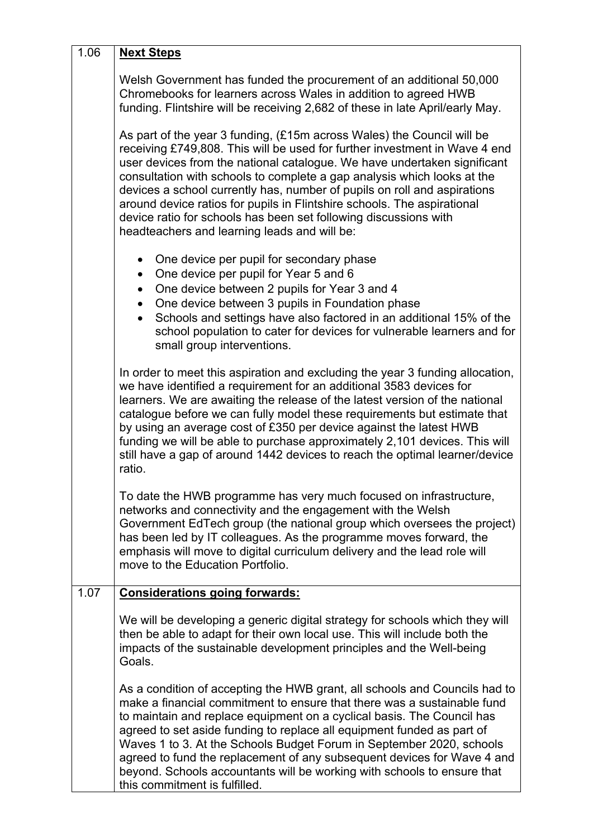| 1.06 | <b>Next Steps</b>                                                                                                                                                                                                                                                                                                                                                                                                                                                                                                                                                                      |
|------|----------------------------------------------------------------------------------------------------------------------------------------------------------------------------------------------------------------------------------------------------------------------------------------------------------------------------------------------------------------------------------------------------------------------------------------------------------------------------------------------------------------------------------------------------------------------------------------|
|      | Welsh Government has funded the procurement of an additional 50,000<br>Chromebooks for learners across Wales in addition to agreed HWB<br>funding. Flintshire will be receiving 2,682 of these in late April/early May.                                                                                                                                                                                                                                                                                                                                                                |
|      | As part of the year 3 funding, (£15m across Wales) the Council will be<br>receiving £749,808. This will be used for further investment in Wave 4 end<br>user devices from the national catalogue. We have undertaken significant<br>consultation with schools to complete a gap analysis which looks at the<br>devices a school currently has, number of pupils on roll and aspirations<br>around device ratios for pupils in Flintshire schools. The aspirational<br>device ratio for schools has been set following discussions with<br>headteachers and learning leads and will be: |
|      | One device per pupil for secondary phase<br>$\bullet$<br>One device per pupil for Year 5 and 6<br>$\bullet$<br>One device between 2 pupils for Year 3 and 4<br>$\bullet$<br>One device between 3 pupils in Foundation phase<br>Schools and settings have also factored in an additional 15% of the<br>school population to cater for devices for vulnerable learners and for<br>small group interventions.                                                                                                                                                                             |
|      | In order to meet this aspiration and excluding the year 3 funding allocation,<br>we have identified a requirement for an additional 3583 devices for<br>learners. We are awaiting the release of the latest version of the national<br>catalogue before we can fully model these requirements but estimate that<br>by using an average cost of £350 per device against the latest HWB<br>funding we will be able to purchase approximately 2,101 devices. This will<br>still have a gap of around 1442 devices to reach the optimal learner/device<br>ratio.                           |
|      | To date the HWB programme has very much focused on infrastructure,<br>networks and connectivity and the engagement with the Welsh<br>Government EdTech group (the national group which oversees the project)<br>has been led by IT colleagues. As the programme moves forward, the<br>emphasis will move to digital curriculum delivery and the lead role will<br>move to the Education Portfolio.                                                                                                                                                                                     |
| 1.07 | <b>Considerations going forwards:</b>                                                                                                                                                                                                                                                                                                                                                                                                                                                                                                                                                  |
|      | We will be developing a generic digital strategy for schools which they will<br>then be able to adapt for their own local use. This will include both the<br>impacts of the sustainable development principles and the Well-being<br>Goals.                                                                                                                                                                                                                                                                                                                                            |
|      | As a condition of accepting the HWB grant, all schools and Councils had to<br>make a financial commitment to ensure that there was a sustainable fund<br>to maintain and replace equipment on a cyclical basis. The Council has<br>agreed to set aside funding to replace all equipment funded as part of<br>Waves 1 to 3. At the Schools Budget Forum in September 2020, schools<br>agreed to fund the replacement of any subsequent devices for Wave 4 and<br>beyond. Schools accountants will be working with schools to ensure that<br>this commitment is fulfilled.               |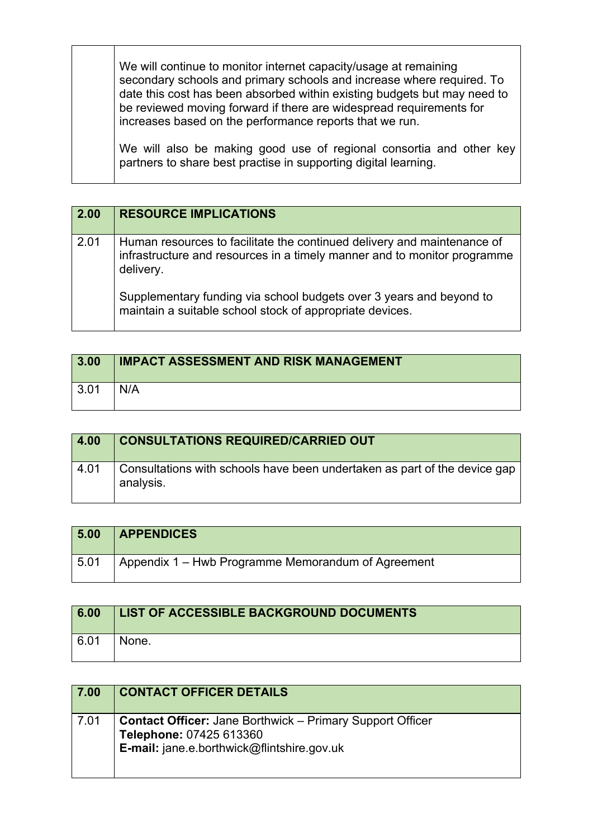| We will continue to monitor internet capacity/usage at remaining<br>secondary schools and primary schools and increase where required. To<br>date this cost has been absorbed within existing budgets but may need to<br>be reviewed moving forward if there are widespread requirements for<br>increases based on the performance reports that we run. |
|---------------------------------------------------------------------------------------------------------------------------------------------------------------------------------------------------------------------------------------------------------------------------------------------------------------------------------------------------------|
| We will also be making good use of regional consortia and other key<br>partners to share best practise in supporting digital learning.                                                                                                                                                                                                                  |

| 2.00 | <b>RESOURCE IMPLICATIONS</b>                                                                                                                                     |
|------|------------------------------------------------------------------------------------------------------------------------------------------------------------------|
| 2.01 | Human resources to facilitate the continued delivery and maintenance of<br>infrastructure and resources in a timely manner and to monitor programme<br>delivery. |
|      | Supplementary funding via school budgets over 3 years and beyond to<br>maintain a suitable school stock of appropriate devices.                                  |

| 3.00 | <b>IMPACT ASSESSMENT AND RISK MANAGEMENT</b> |
|------|----------------------------------------------|
| 3.01 | N/A                                          |

| 4.00 | <b>CONSULTATIONS REQUIRED/CARRIED OUT</b>                                              |
|------|----------------------------------------------------------------------------------------|
| 4.01 | Consultations with schools have been undertaken as part of the device gap<br>analysis. |

| 5.00 | <b>APPENDICES</b>                                  |
|------|----------------------------------------------------|
| 5.01 | Appendix 1 – Hwb Programme Memorandum of Agreement |

| 6.00 | LIST OF ACCESSIBLE BACKGROUND DOCUMENTS |
|------|-----------------------------------------|
| 6.01 | None.                                   |

| 7.00         | <b>CONTACT OFFICER DETAILS</b>                                                                                                            |
|--------------|-------------------------------------------------------------------------------------------------------------------------------------------|
| $\vert$ 7.01 | <b>Contact Officer: Jane Borthwick - Primary Support Officer</b><br>Telephone: 07425 613360<br>E-mail: jane.e.borthwick@flintshire.gov.uk |